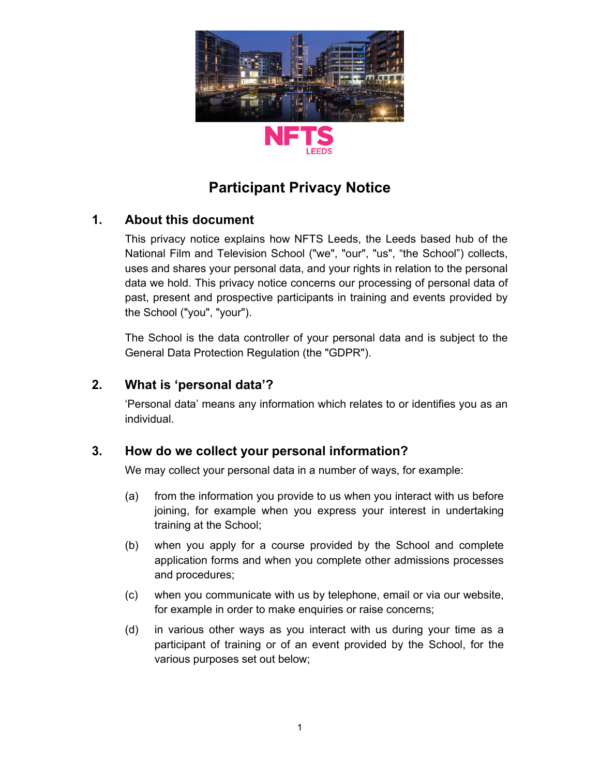

# **Participant Privacy Notice**

# **1. About this document**

This privacy notice explains how NFTS Leeds, the Leeds based hub of the National Film and Television School ("we", "our", "us", "the School") collects, uses and shares your personal data, and your rights in relation to the personal data we hold. This privacy notice concerns our processing of personal data of past, present and prospective participants in training and events provided by the School ("you", "your").

The School is the data controller of your personal data and is subject to the General Data Protection Regulation (the "GDPR").

# **2. What is 'personal data'?**

'Personal data' means any information which relates to or identifies you as an individual.

# **3. How do we collect your personal information?**

We may collect your personal data in a number of ways, for example:

- (a) from the information you provide to us when you interact with us before joining, for example when you express your interest in undertaking training at the School;
- (b) when you apply for a course provided by the School and complete application forms and when you complete other admissions processes and procedures;
- (c) when you communicate with us by telephone, email or via our website, for example in order to make enquiries or raise concerns;
- (d) in various other ways as you interact with us during your time as a participant of training or of an event provided by the School, for the various purposes set out below;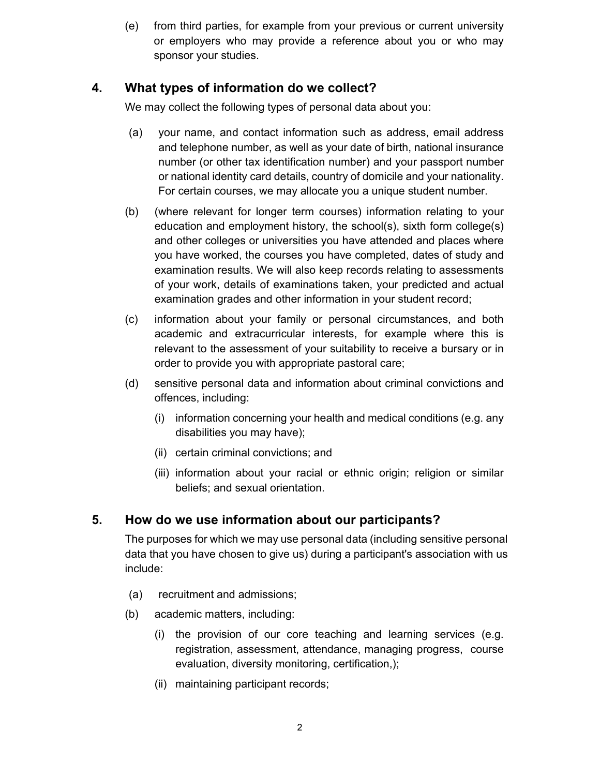(e) from third parties, for example from your previous or current university or employers who may provide a reference about you or who may sponsor your studies.

# **4. What types of information do we collect?**

We may collect the following types of personal data about you:

- (a) your name, and contact information such as address, email address and telephone number, as well as your date of birth, national insurance number (or other tax identification number) and your passport number or national identity card details, country of domicile and your nationality. For certain courses, we may allocate you a unique student number.
- (b) (where relevant for longer term courses) information relating to your education and employment history, the school(s), sixth form college(s) and other colleges or universities you have attended and places where you have worked, the courses you have completed, dates of study and examination results. We will also keep records relating to assessments of your work, details of examinations taken, your predicted and actual examination grades and other information in your student record;
- (c) information about your family or personal circumstances, and both academic and extracurricular interests, for example where this is relevant to the assessment of your suitability to receive a bursary or in order to provide you with appropriate pastoral care;
- (d) sensitive personal data and information about criminal convictions and offences, including:
	- (i) information concerning your health and medical conditions (e.g. any disabilities you may have);
	- (ii) certain criminal convictions; and
	- (iii) information about your racial or ethnic origin; religion or similar beliefs; and sexual orientation.

# **5. How do we use information about our participants?**

The purposes for which we may use personal data (including sensitive personal data that you have chosen to give us) during a participant's association with us include:

- (a) recruitment and admissions;
- (b) academic matters, including:
	- (i) the provision of our core teaching and learning services (e.g. registration, assessment, attendance, managing progress, course evaluation, diversity monitoring, certification,);
	- (ii) maintaining participant records;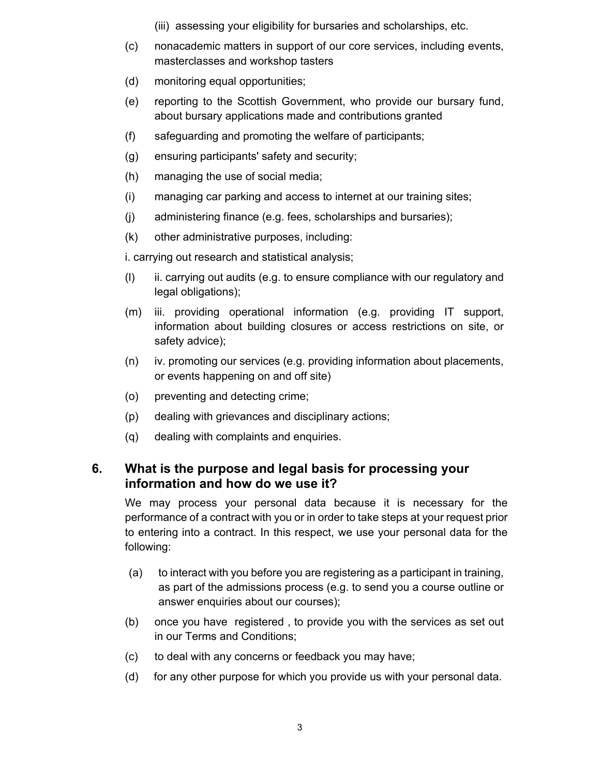- (iii) assessing your eligibility for bursaries and scholarships, etc.
- (c) nonacademic matters in support of our core services, including events, masterclasses and workshop tasters
- (d) monitoring equal opportunities;
- (e) reporting to the Scottish Government, who provide our bursary fund, about bursary applications made and contributions granted
- (f) safeguarding and promoting the welfare of participants;
- (g) ensuring participants' safety and security;
- (h) managing the use of social media;
- (i) managing car parking and access to internet at our training sites;
- (j) administering finance (e.g. fees, scholarships and bursaries);
- (k) other administrative purposes, including:

i. carrying out research and statistical analysis;

- (l) ii. carrying out audits (e.g. to ensure compliance with our regulatory and legal obligations);
- (m) iii. providing operational information (e.g. providing IT support, information about building closures or access restrictions on site, or safety advice);
- (n) iv. promoting our services (e.g. providing information about placements, or events happening on and off site)
- (o) preventing and detecting crime;
- (p) dealing with grievances and disciplinary actions;
- (q) dealing with complaints and enquiries.

### **6. What is the purpose and legal basis for processing your information and how do we use it?**

We may process your personal data because it is necessary for the performance of a contract with you or in order to take steps at your request prior to entering into a contract. In this respect, we use your personal data for the following:

- (a) to interact with you before you are registering as a participant in training, as part of the admissions process (e.g. to send you a course outline or answer enquiries about our courses);
- (b) once you have registered , to provide you with the services as set out in our Terms and Conditions;
- (c) to deal with any concerns or feedback you may have;
- (d) for any other purpose for which you provide us with your personal data.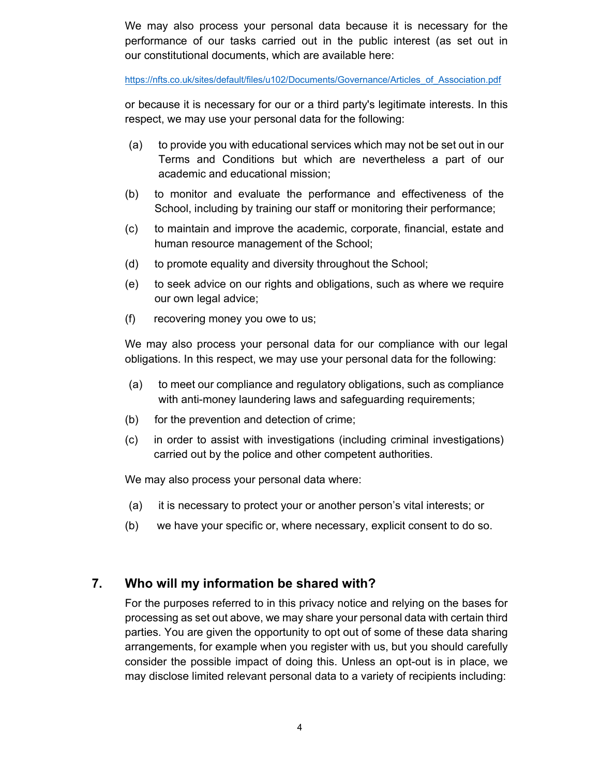We may also process your personal data because it is necessary for the performance of our tasks carried out in the public interest (as set out in our constitutional documents, which are available here:

https://nfts.co.uk/sites/default/files/u102/Documents/Governance/Articles\_of\_Association.pdf

or because it is necessary for our or a third party's legitimate interests. In this respect, we may use your personal data for the following:

- (a) to provide you with educational services which may not be set out in our Terms and Conditions but which are nevertheless a part of our academic and educational mission;
- (b) to monitor and evaluate the performance and effectiveness of the School, including by training our staff or monitoring their performance;
- (c) to maintain and improve the academic, corporate, financial, estate and human resource management of the School;
- (d) to promote equality and diversity throughout the School;
- (e) to seek advice on our rights and obligations, such as where we require our own legal advice;
- (f) recovering money you owe to us;

We may also process your personal data for our compliance with our legal obligations. In this respect, we may use your personal data for the following:

- (a) to meet our compliance and regulatory obligations, such as compliance with anti-money laundering laws and safeguarding requirements;
- (b) for the prevention and detection of crime;
- (c) in order to assist with investigations (including criminal investigations) carried out by the police and other competent authorities.

We may also process your personal data where:

- (a) it is necessary to protect your or another person's vital interests; or
- (b) we have your specific or, where necessary, explicit consent to do so.

#### **7. Who will my information be shared with?**

For the purposes referred to in this privacy notice and relying on the bases for processing as set out above, we may share your personal data with certain third parties. You are given the opportunity to opt out of some of these data sharing arrangements, for example when you register with us, but you should carefully consider the possible impact of doing this. Unless an opt-out is in place, we may disclose limited relevant personal data to a variety of recipients including: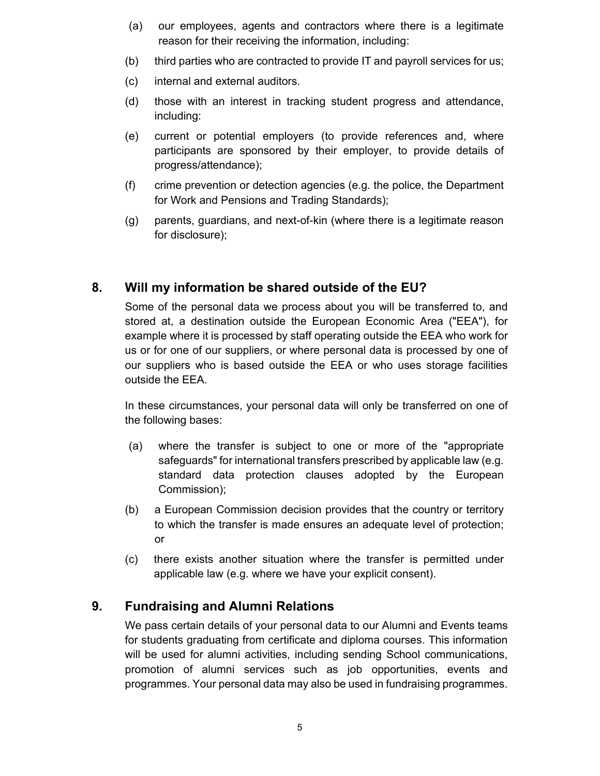- (a) our employees, agents and contractors where there is a legitimate reason for their receiving the information, including:
- (b) third parties who are contracted to provide IT and payroll services for us;
- (c) internal and external auditors.
- (d) those with an interest in tracking student progress and attendance, including:
- (e) current or potential employers (to provide references and, where participants are sponsored by their employer, to provide details of progress/attendance);
- (f) crime prevention or detection agencies (e.g. the police, the Department for Work and Pensions and Trading Standards);
- (g) parents, guardians, and next-of-kin (where there is a legitimate reason for disclosure);

# **8. Will my information be shared outside of the EU?**

Some of the personal data we process about you will be transferred to, and stored at, a destination outside the European Economic Area ("EEA"), for example where it is processed by staff operating outside the EEA who work for us or for one of our suppliers, or where personal data is processed by one of our suppliers who is based outside the EEA or who uses storage facilities outside the EEA.

In these circumstances, your personal data will only be transferred on one of the following bases:

- (a) where the transfer is subject to one or more of the "appropriate safeguards" for international transfers prescribed by applicable law (e.g. standard data protection clauses adopted by the European Commission);
- (b) a European Commission decision provides that the country or territory to which the transfer is made ensures an adequate level of protection; or
- (c) there exists another situation where the transfer is permitted under applicable law (e.g. where we have your explicit consent).

### **9. Fundraising and Alumni Relations**

We pass certain details of your personal data to our Alumni and Events teams for students graduating from certificate and diploma courses. This information will be used for alumni activities, including sending School communications, promotion of alumni services such as job opportunities, events and programmes. Your personal data may also be used in fundraising programmes.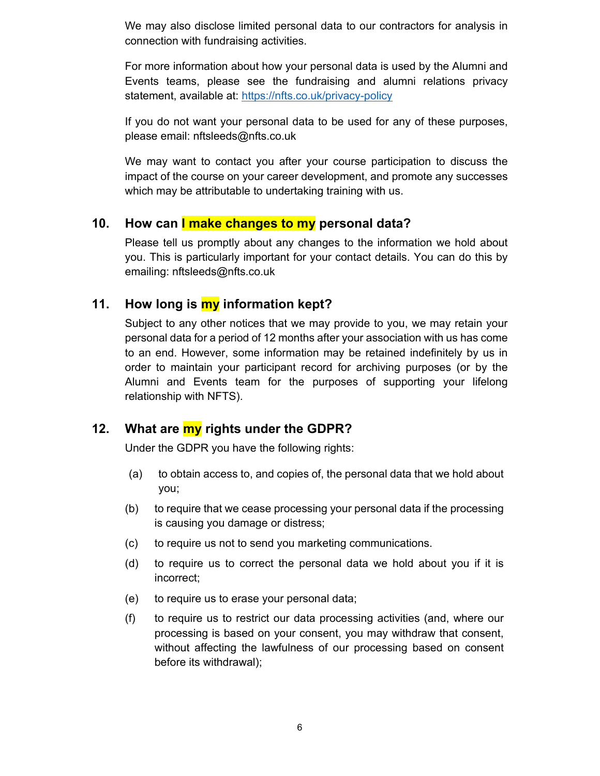We may also disclose limited personal data to our contractors for analysis in connection with fundraising activities.

For more information about how your personal data is used by the Alumni and Events teams, please see the fundraising and alumni relations privacy statement, available at: https://nfts.co.uk/privacy-policy

If you do not want your personal data to be used for any of these purposes, please email: nftsleeds@nfts.co.uk

We may want to contact you after your course participation to discuss the impact of the course on your career development, and promote any successes which may be attributable to undertaking training with us.

#### **10. How can I make changes to my personal data?**

Please tell us promptly about any changes to the information we hold about you. This is particularly important for your contact details. You can do this by emailing: nftsleeds@nfts.co.uk

#### **11. How long is my information kept?**

Subject to any other notices that we may provide to you, we may retain your personal data for a period of 12 months after your association with us has come to an end. However, some information may be retained indefinitely by us in order to maintain your participant record for archiving purposes (or by the Alumni and Events team for the purposes of supporting your lifelong relationship with NFTS).

#### **12. What are my rights under the GDPR?**

Under the GDPR you have the following rights:

- (a) to obtain access to, and copies of, the personal data that we hold about you;
- (b) to require that we cease processing your personal data if the processing is causing you damage or distress;
- (c) to require us not to send you marketing communications.
- (d) to require us to correct the personal data we hold about you if it is incorrect;
- (e) to require us to erase your personal data;
- (f) to require us to restrict our data processing activities (and, where our processing is based on your consent, you may withdraw that consent, without affecting the lawfulness of our processing based on consent before its withdrawal);